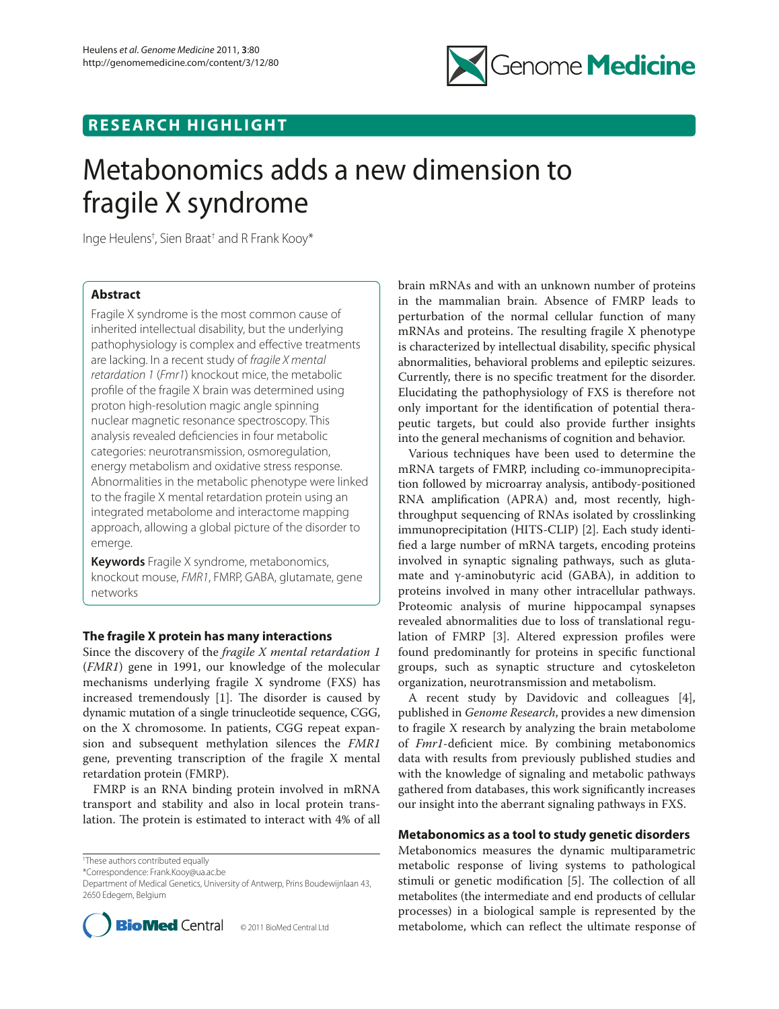

## **RESEARCH HIGHLIGHT**

# Metabonomics adds a new dimension to fragile X syndrome

Inge Heulens† , Sien Braat† and R Frank Kooy\*

## **Abstract**

Fragile X syndrome is the most common cause of inherited intellectual disability, but the underlying pathophysiology is complex and effective treatments are lacking. In a recent study of *fragile X mental retardation 1* (*Fmr1*) knockout mice, the metabolic profile of the fragile X brain was determined using proton high-resolution magic angle spinning nuclear magnetic resonance spectroscopy. This analysis revealed deficiencies in four metabolic categories: neurotransmission, osmoregulation, energy metabolism and oxidative stress response. Abnormalities in the metabolic phenotype were linked to the fragile X mental retardation protein using an integrated metabolome and interactome mapping approach, allowing a global picture of the disorder to emerge.

**Keywords** Fragile X syndrome, metabonomics, knockout mouse, *FMR1*, FMRP, GABA, glutamate, gene networks

## **The fragile X protein has many interactions**

Since the discovery of the *fragile X mental retardation 1* (*FMR1*) gene in 1991, our knowledge of the molecular mechanisms underlying fragile X syndrome (FXS) has increased tremendously  $[1]$ . The disorder is caused by dynamic mutation of a single trinucleotide sequence, CGG, on the X chromosome. In patients, CGG repeat expansion and subsequent methylation silences the *FMR1* gene, preventing transcription of the fragile X mental retardation protein (FMRP).

FMRP is an RNA binding protein involved in mRNA transport and stability and also in local protein translation. The protein is estimated to interact with 4% of all

† These authors contributed equally

\*Correspondence: Frank.Kooy@ua.ac.be

Department of Medical Genetics, University of Antwerp, Prins Boudewijnlaan 43, 2650 Edegem, Belgium



brain mRNAs and with an unknown number of proteins in the mammalian brain. Absence of FMRP leads to perturbation of the normal cellular function of many mRNAs and proteins. The resulting fragile X phenotype is characterized by intellectual disability, specific physical abnormalities, behavioral problems and epileptic seizures. Currently, there is no specific treatment for the disorder. Elucidating the pathophysiology of FXS is therefore not only important for the identification of potential therapeutic targets, but could also provide further insights into the general mechanisms of cognition and behavior.

Various techniques have been used to determine the mRNA targets of FMRP, including co-immunoprecipitation followed by microarray analysis, antibody-positioned RNA amplification (APRA) and, most recently, highthroughput sequencing of RNAs isolated by crosslinking immunoprecipitation (HITS-CLIP) [2]. Each study identified a large number of mRNA targets, encoding proteins involved in synaptic signaling pathways, such as glutamate and γ-aminobutyric acid (GABA), in addition to proteins involved in many other intracellular pathways. Proteomic analysis of murine hippocampal synapses revealed abnormalities due to loss of translational regulation of FMRP [3]. Altered expression profiles were found predominantly for proteins in specific functional groups, such as synaptic structure and cytoskeleton organization, neurotransmission and metabolism.

A recent study by Davidovic and colleagues [4], published in *Genome Research*, provides a new dimension to fragile X research by analyzing the brain metabolome of *Fmr1*-deficient mice. By combining metabonomics data with results from previously published studies and with the knowledge of signaling and metabolic pathways gathered from databases, this work significantly increases our insight into the aberrant signaling pathways in FXS.

## **Metabonomics as a tool to study genetic disorders**

Metabonomics measures the dynamic multiparametric metabolic response of living systems to pathological stimuli or genetic modification [5]. The collection of all metabolites (the intermediate and end products of cellular processes) in a biological sample is represented by the metabolome, which can reflect the ultimate response of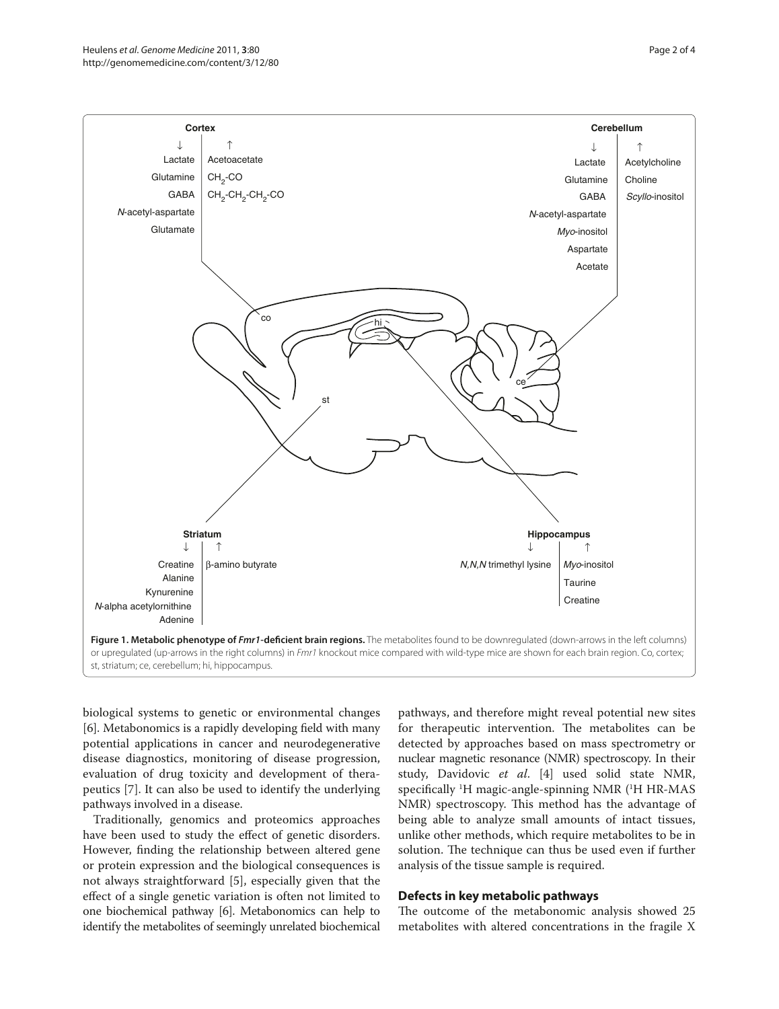

biological systems to genetic or environmental changes [6]. Metabonomics is a rapidly developing field with many potential applications in cancer and neurodegenerative disease diagnostics, monitoring of disease progression, evaluation of drug toxicity and development of therapeutics [7]. It can also be used to identify the underlying pathways involved in a disease.

Traditionally, genomics and proteomics approaches have been used to study the effect of genetic disorders. However, finding the relationship between altered gene or protein expression and the biological consequences is not always straightforward [5], especially given that the effect of a single genetic variation is often not limited to one biochemical pathway [6]. Metabonomics can help to identify the metabolites of seemingly unrelated biochemical pathways, and therefore might reveal potential new sites for therapeutic intervention. The metabolites can be detected by approaches based on mass spectrometry or nuclear magnetic resonance (NMR) spectroscopy. In their study, Davidovic *et al*. [4] used solid state NMR, specifically <sup>1</sup>H magic-angle-spinning NMR (<sup>1</sup>H HR-MAS NMR) spectroscopy. This method has the advantage of being able to analyze small amounts of intact tissues, unlike other methods, which require metabolites to be in solution. The technique can thus be used even if further analysis of the tissue sample is required.

#### **Defects in key metabolic pathways**

The outcome of the metabonomic analysis showed 25 metabolites with altered concentrations in the fragile X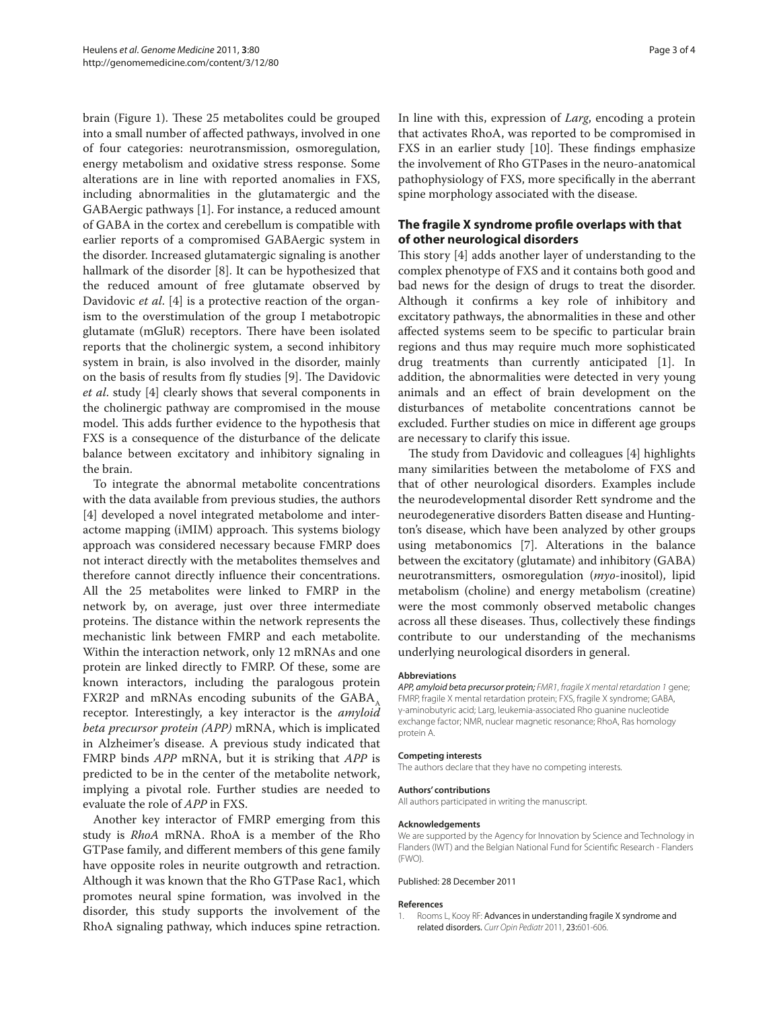brain (Figure 1). These 25 metabolites could be grouped into a small number of affected pathways, involved in one of four categories: neurotransmission, osmoregulation, energy metabolism and oxidative stress response. Some alterations are in line with reported anomalies in FXS, including abnormalities in the glutamatergic and the GABAergic pathways [1]. For instance, a reduced amount of GABA in the cortex and cerebellum is compatible with earlier reports of a compromised GABAergic system in the disorder. Increased glutamatergic signaling is another hallmark of the disorder [8]. It can be hypothesized that the reduced amount of free glutamate observed by Davidovic *et al*. [4] is a protective reaction of the organism to the overstimulation of the group I metabotropic glutamate (mGluR) receptors. There have been isolated reports that the cholinergic system, a second inhibitory system in brain, is also involved in the disorder, mainly on the basis of results from fly studies [9]. The Davidovic *et al*. study [4] clearly shows that several components in the cholinergic pathway are compromised in the mouse model. This adds further evidence to the hypothesis that FXS is a consequence of the disturbance of the delicate balance between excitatory and inhibitory signaling in the brain.

To integrate the abnormal metabolite concentrations with the data available from previous studies, the authors [4] developed a novel integrated metabolome and interactome mapping (iMIM) approach. This systems biology approach was considered necessary because FMRP does not interact directly with the metabolites themselves and therefore cannot directly influence their concentrations. All the 25 metabolites were linked to FMRP in the network by, on average, just over three intermediate proteins. The distance within the network represents the mechanistic link between FMRP and each metabolite. Within the interaction network, only 12 mRNAs and one protein are linked directly to FMRP. Of these, some are known interactors, including the paralogous protein FXR2P and mRNAs encoding subunits of the GABA $_{\alpha}$ receptor. Interestingly, a key interactor is the *amyloid beta precursor protein (APP)* mRNA, which is implicated in Alzheimer's disease. A previous study indicated that FMRP binds *APP* mRNA, but it is striking that *APP* is predicted to be in the center of the metabolite network, implying a pivotal role. Further studies are needed to evaluate the role of *APP* in FXS.

Another key interactor of FMRP emerging from this study is *RhoA* mRNA. RhoA is a member of the Rho GTPase family, and different members of this gene family have opposite roles in neurite outgrowth and retraction. Although it was known that the Rho GTPase Rac1, which promotes neural spine formation, was involved in the disorder, this study supports the involvement of the RhoA signaling pathway, which induces spine retraction. In line with this, expression of *Larg*, encoding a protein that activates RhoA, was reported to be compromised in FXS in an earlier study [10]. These findings emphasize the involvement of Rho GTPases in the neuro-anatomical pathophysiology of FXS, more specifically in the aberrant spine morphology associated with the disease.

## **The fragile X syndrome profile overlaps with that of other neurological disorders**

This story [4] adds another layer of understanding to the complex phenotype of FXS and it contains both good and bad news for the design of drugs to treat the disorder. Although it confirms a key role of inhibitory and excitatory pathways, the abnormalities in these and other affected systems seem to be specific to particular brain regions and thus may require much more sophisticated drug treatments than currently anticipated [1]. In addition, the abnormalities were detected in very young animals and an effect of brain development on the disturbances of metabolite concentrations cannot be excluded. Further studies on mice in different age groups are necessary to clarify this issue.

The study from Davidovic and colleagues [4] highlights many similarities between the metabolome of FXS and that of other neurological disorders. Examples include the neurodevelopmental disorder Rett syndrome and the neurodegenerative disorders Batten disease and Huntington's disease, which have been analyzed by other groups using metabonomics [7]. Alterations in the balance between the excitatory (glutamate) and inhibitory (GABA) neurotransmitters, osmoregulation (*myo*-inositol), lipid metabolism (choline) and energy metabolism (creatine) were the most commonly observed metabolic changes across all these diseases. Thus, collectively these findings contribute to our understanding of the mechanisms underlying neurological disorders in general.

#### **Abbreviations**

*APP, amyloid beta precursor protein; FMR1*, *fragile X mental retardation 1* gene; FMRP, fragile X mental retardation protein; FXS, fragile X syndrome; GABA, γ-aminobutyric acid; Larg, leukemia-associated Rho guanine nucleotide exchange factor; NMR, nuclear magnetic resonance; RhoA, Ras homology protein A.

#### **Competing interests**

The authors declare that they have no competing interests.

#### **Authors' contributions**

All authors participated in writing the manuscript.

#### **Acknowledgements**

We are supported by the Agency for Innovation by Science and Technology in Flanders (IWT) and the Belgian National Fund for Scientific Research - Flanders (FWO).

#### Published: 28 December 2011

#### **References**

1. Rooms L, Kooy RF: Advances in understanding fragile X syndrome and related disorders. *Curr Opin Pediatr* 2011, 23:601-606.